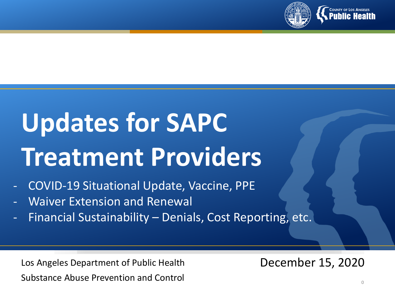

# **Updates for SAPC Treatment Providers**

- COVID-19 Situational Update, Vaccine, PPE
- Waiver Extension and Renewal
- Financial Sustainability Denials, Cost Reporting, etc.

Los Angeles Department of Public Health Substance Abuse Prevention and Control

December 15, 2020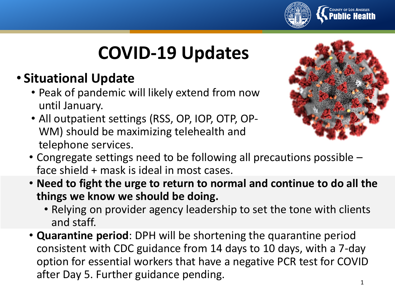

# **COVID-19 Updates**

- **Situational Update**
	- Peak of pandemic will likely extend from now until January.
	- All outpatient settings (RSS, OP, IOP, OTP, OP-WM) should be maximizing telehealth and telephone services.



- Congregate settings need to be following all precautions possible face shield + mask is ideal in most cases.
- **Need to fight the urge to return to normal and continue to do all the things we know we should be doing.** 
	- Relying on provider agency leadership to set the tone with clients and staff.
- **Quarantine period**: DPH will be shortening the quarantine period consistent with CDC guidance from 14 days to 10 days, with a 7-day option for essential workers that have a negative PCR test for COVID after Day 5. Further guidance pending.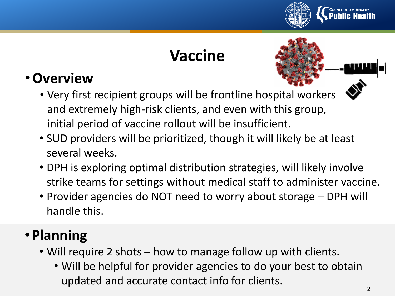

### **Vaccine**

#### •**Overview**

- Very first recipient groups will be frontline hospital workers and extremely high-risk clients, and even with this group, initial period of vaccine rollout will be insufficient.
- SUD providers will be prioritized, though it will likely be at least several weeks.
- DPH is exploring optimal distribution strategies, will likely involve strike teams for settings without medical staff to administer vaccine.
- Provider agencies do NOT need to worry about storage DPH will handle this.

#### • **Planning**

- Will require 2 shots how to manage follow up with clients.
	- Will be helpful for provider agencies to do your best to obtain updated and accurate contact info for clients.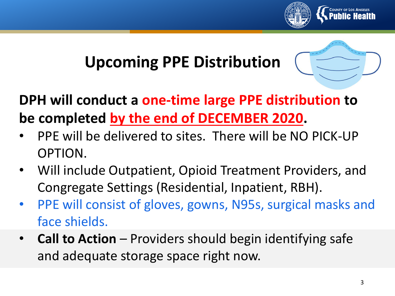

## **Upcoming PPE Distribution**



### **DPH will conduct a one-time large PPE distribution to be completed by the end of DECEMBER 2020.**

- PPE will be delivered to sites. There will be NO PICK-UP OPTION.
- Will include Outpatient, Opioid Treatment Providers, and Congregate Settings (Residential, Inpatient, RBH).
- PPE will consist of gloves, gowns, N95s, surgical masks and face shields.
- **Call to Action**  Providers should begin identifying safe and adequate storage space right now.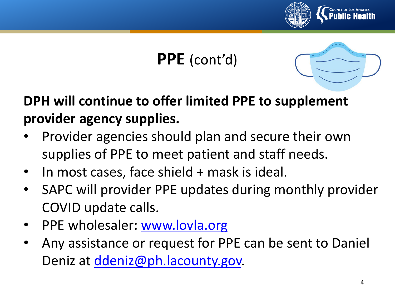

# **PPE** (cont'd)



- Provider agencies should plan and secure their own supplies of PPE to meet patient and staff needs.
- In most cases, face shield + mask is ideal.
- SAPC will provider PPE updates during monthly provider COVID update calls.
- PPE wholesaler: [www.lovla.org](http://www.lovla.org/)
- Any assistance or request for PPE can be sent to Daniel Deniz at [ddeniz@ph.lacounty.gov.](mailto:ddeniz@ph.lacounty.gov)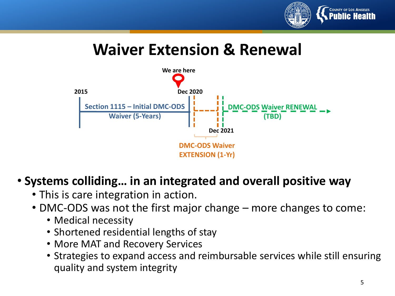

#### **Waiver Extension & Renewal**



#### • **Systems colliding… in an integrated and overall positive way**

- This is care integration in action.
- DMC-ODS was not the first major change more changes to come:
	- Medical necessity
	- Shortened residential lengths of stay
	- More MAT and Recovery Services
	- Strategies to expand access and reimbursable services while still ensuring quality and system integrity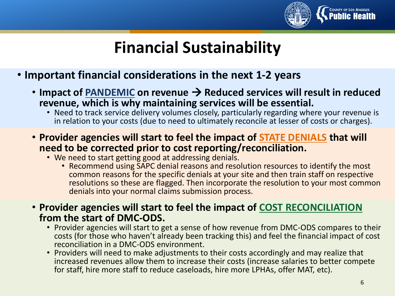

#### **Financial Sustainability**

- **Important financial considerations in the next 1-2 years**
	- Impact of **PANDEMIC** on revenue → Reduced services will result in reduced **revenue, which is why maintaining services will be essential.**
		- Need to track service delivery volumes closely, particularly regarding where your revenue is in relation to your costs (due to need to ultimately reconcile at lesser of costs or charges).
	- **Provider agencies will start to feel the impact of STATE DENIALS that will need to be corrected prior to cost reporting/reconciliation.**
		- We need to start getting good at addressing denials.
			- Recommend using SAPC denial reasons and resolution resources to identify the most common reasons for the specific denials at your site and then train staff on respective resolutions so these are flagged. Then incorporate the resolution to your most common denials into your normal claims submission process.
	- **Provider agencies will start to feel the impact of COST RECONCILIATION from the start of DMC-ODS.**
		- Provider agencies will start to get a sense of how revenue from DMC-ODS compares to their costs (for those who haven't already been tracking this) and feel the financial impact of cost reconciliation in a DMC-ODS environment.
		- Providers will need to make adjustments to their costs accordingly and may realize that increased revenues allow them to increase their costs (increase salaries to better compete for staff, hire more staff to reduce caseloads, hire more LPHAs, offer MAT, etc).